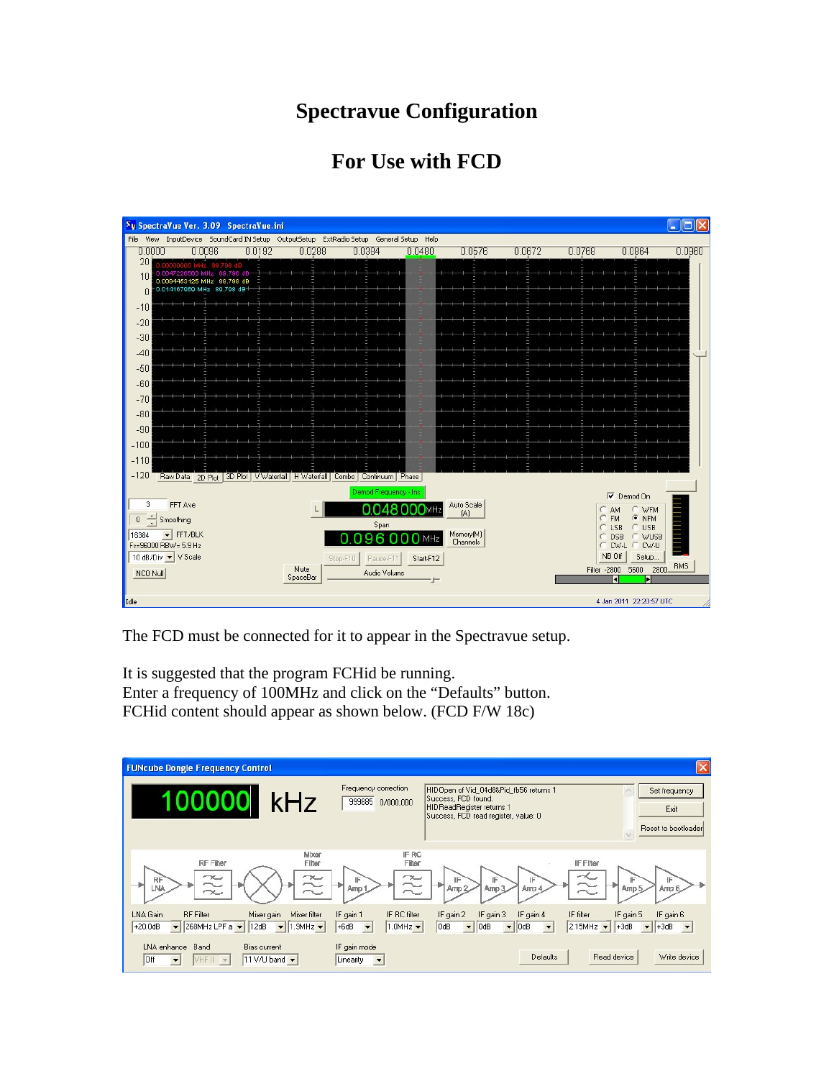## **Spectravue Configuration**

## **For Use with FCD**



The FCD must be connected for it to appear in the Spectravue setup.

It is suggested that the program FCHid be running. Enter a frequency of 100MHz and click on the "Defaults" button. FCHid content should appear as shown below. (FCD F/W 18c)

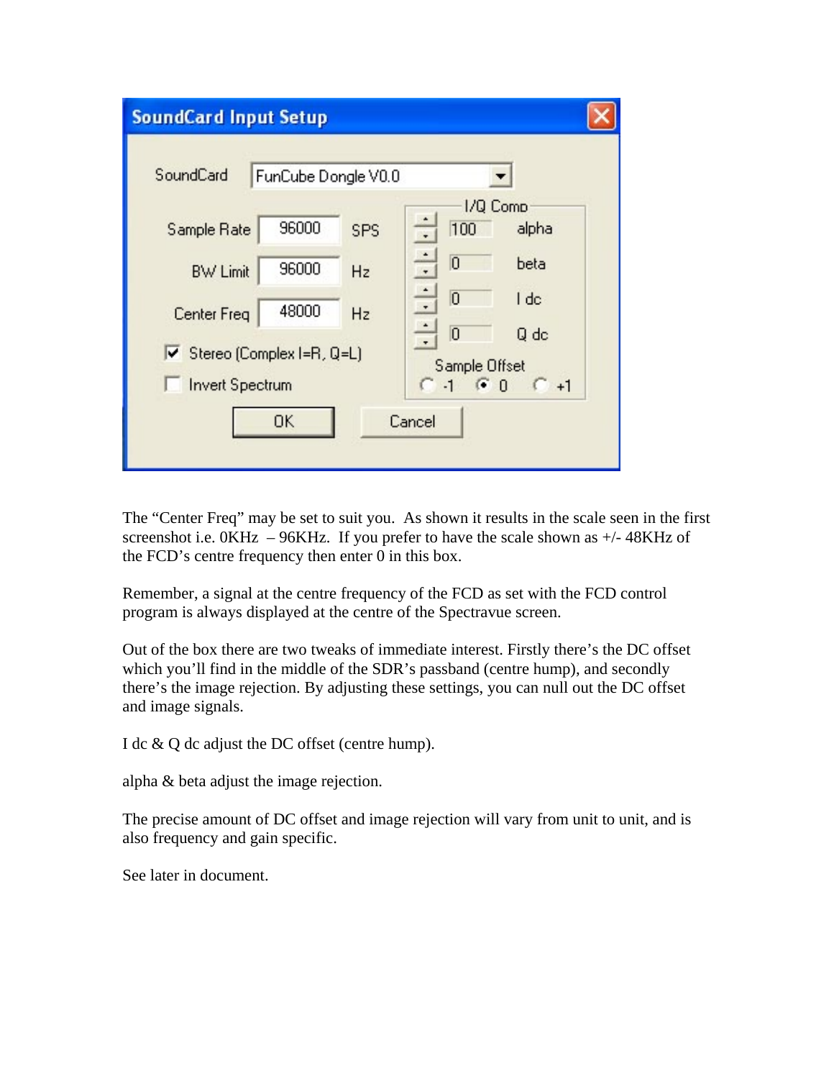| <b>SoundCard Input Setup</b>                                 |                     |     |                                                                    |                  |  |
|--------------------------------------------------------------|---------------------|-----|--------------------------------------------------------------------|------------------|--|
| SoundCard                                                    | FunCube Dongle V0.0 |     |                                                                    |                  |  |
| Sample Rate                                                  | 96000               | SPS | 1/Q Comp<br>100<br>$\overline{\cdot}$                              | alpha            |  |
| <b>BW Limit</b>                                              | 96000               | Hz  | $\frac{1}{\cdot}$<br>$\overline{0}$                                | beta             |  |
| <b>Center Freq</b>                                           | 48000               | Hz  | $\frac{1}{\cdot}$<br>$\overline{0}$                                | I dc             |  |
| $\triangledown$ Stereo (Complex I=R, Q=L)<br>Imvert Spectrum |                     |     | $\frac{1}{\cdot}$<br>$\overline{0}$<br>Sample Offset<br>$-1$ $G_0$ | Q dc<br>$C_{+1}$ |  |
| 0K<br>Cancel                                                 |                     |     |                                                                    |                  |  |

The "Center Freq" may be set to suit you. As shown it results in the scale seen in the first screenshot i.e.  $0KHz - 96KHz$ . If you prefer to have the scale shown as  $+/-48KHz$  of the FCD's centre frequency then enter 0 in this box.

Remember, a signal at the centre frequency of the FCD as set with the FCD control program is always displayed at the centre of the Spectravue screen.

Out of the box there are two tweaks of immediate interest. Firstly there's the DC offset which you'll find in the middle of the SDR's passband (centre hump), and secondly there's the image rejection. By adjusting these settings, you can null out the DC offset and image signals.

I dc & Q dc adjust the DC offset (centre hump).

alpha & beta adjust the image rejection.

The precise amount of DC offset and image rejection will vary from unit to unit, and is also frequency and gain specific.

See later in document.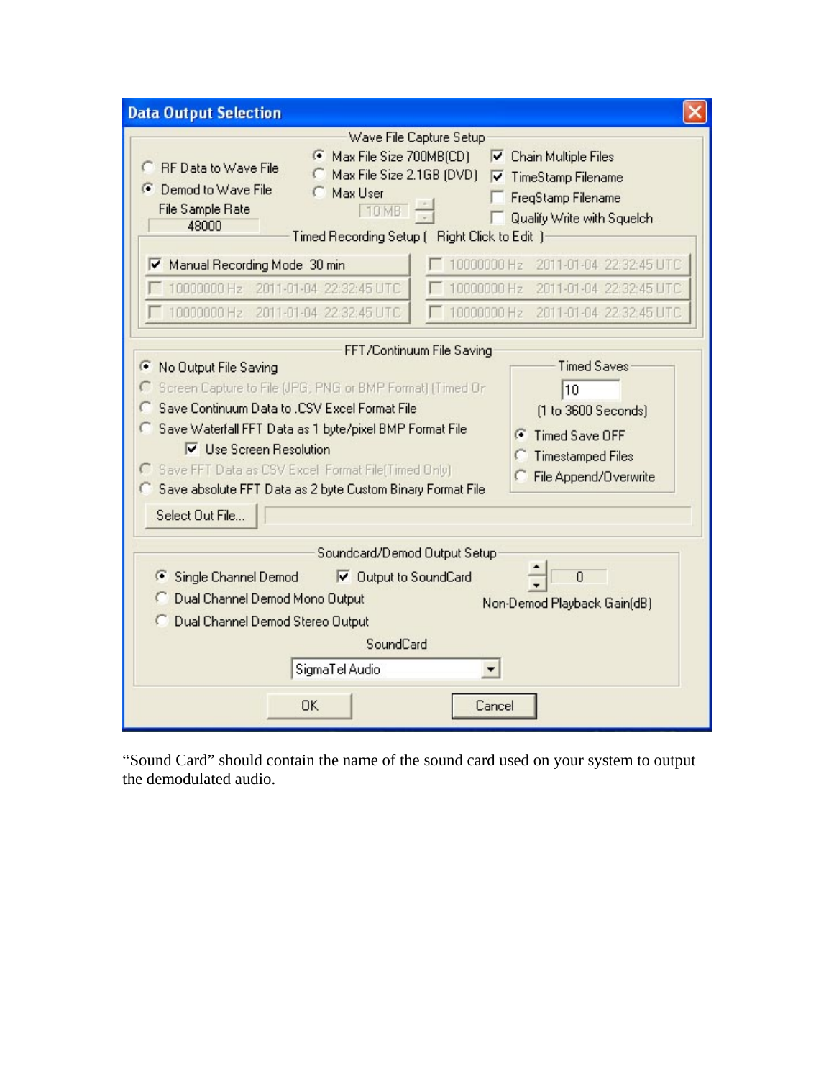| <b>Data Output Selection</b>                                                                                                                                                                                                                                                                                                                                                                                                                                                                                                             |  |  |  |  |
|------------------------------------------------------------------------------------------------------------------------------------------------------------------------------------------------------------------------------------------------------------------------------------------------------------------------------------------------------------------------------------------------------------------------------------------------------------------------------------------------------------------------------------------|--|--|--|--|
| Wave File Capture Setup<br>Max File Size 700MB(CD)<br>G<br>⊽<br>Chain Multiple Files<br><b>RF Data to Wave File</b><br>O<br>Max File Size 2.1GB (DVD)<br>V TimeStamp Filename<br>⊙ Demod to Wave File<br>Max User<br>FreqStamp Filename<br>File Sample Rate<br><b>10 MB</b><br>Qualify Write with Squelch<br>48000<br>Timed Recording Setup [ Right Click to Edit ]                                                                                                                                                                      |  |  |  |  |
| 10000000 Hz<br>2011-01-04 22:32:45 UTC<br>Manual Recording Mode 30 min<br>10000000 Hz<br>10000000 Hz 2011-01-04 22:32:45 UTC<br>2011-01-04 22:32:45 UTC<br>10000000 Hz 2011-01-04 22:32:45 UTC<br>10000000 Hz 2011-01-04 22:32:45 UTC                                                                                                                                                                                                                                                                                                    |  |  |  |  |
| FFT/Continuum File Saving<br><b>Timed Saves</b><br>Œ<br>No Output File Saving<br>Screen Capture to File (JPG, PNG or BMP Format) (Timed Or<br>10<br>Save Continuum Data to .CSV Excel Format File<br>[1 to 3600 Seconds]<br>Save Waterfall FFT Data as 1 byte/pixel BMP Format File<br>Timed Save OFF<br>G<br><b>▽</b> Use Screen Resolution<br><b>Timestamped Files</b><br>Save FFT Data as CSV Excel Format File(Timed Only)<br>File Append/Overwrite<br>Save absolute FFT Data as 2 byte Custom Binary Format File<br>Select Out File |  |  |  |  |
| Soundcard/Demod Output Setup<br>$\overline{0}$<br>Single Channel Demod<br>Output to SoundCard<br>Œ<br>Dual Channel Demod Mono Output<br>Non-Demod Playback Gain(dB)<br>Dual Channel Demod Stereo Output<br>SoundCard<br>SigmaTel Audio<br><b>OK</b><br>Cancel                                                                                                                                                                                                                                                                            |  |  |  |  |

"Sound Card" should contain the name of the sound card used on your system to output the demodulated audio.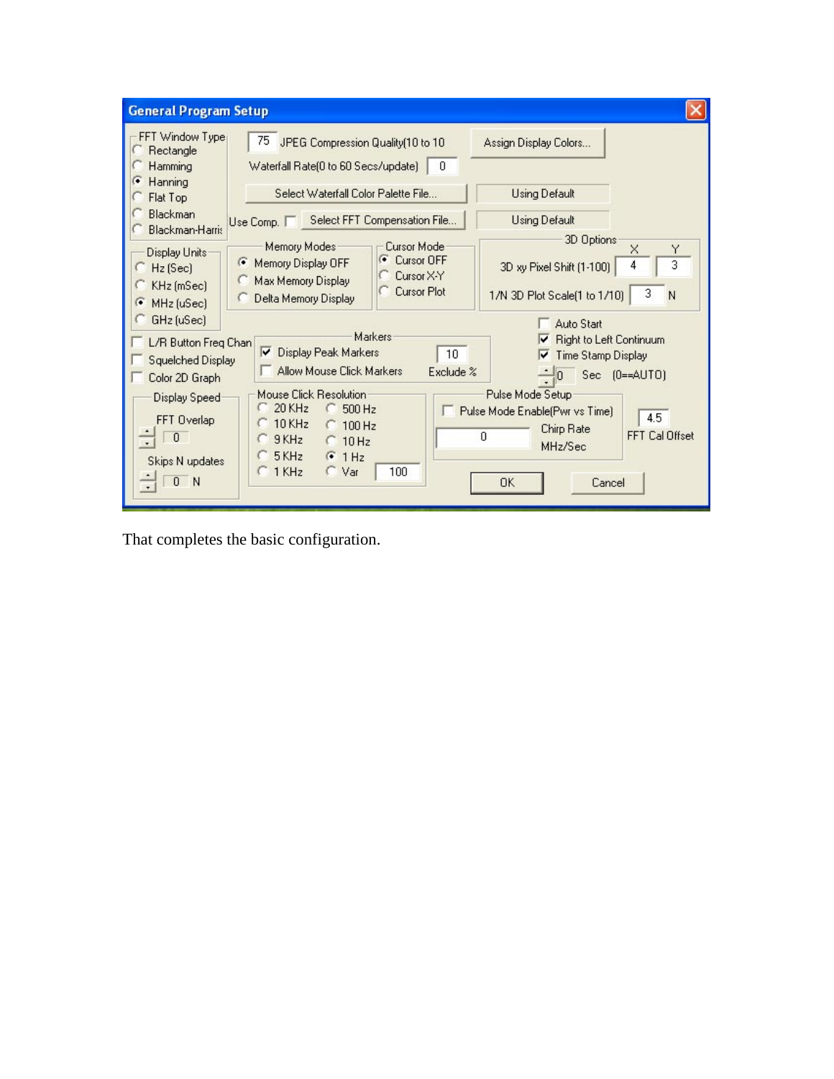| <b>General Program Setup</b>                                                                                                                                                         |                                                                                                                                                                                                                                  |                                                                                                                                                                                                                                                             |  |  |  |  |
|--------------------------------------------------------------------------------------------------------------------------------------------------------------------------------------|----------------------------------------------------------------------------------------------------------------------------------------------------------------------------------------------------------------------------------|-------------------------------------------------------------------------------------------------------------------------------------------------------------------------------------------------------------------------------------------------------------|--|--|--|--|
| FFT Window Type<br>Rectangle<br>Hamming<br>г<br>Hanning<br>Flat Top<br><b>Blackman</b><br><b>Blackman-Harris</b><br>Display Units:<br>Hz (Sec)<br>KHz (mSec)<br>MHz (uSec)<br>r.     | 75<br>JPEG Compression Quality(10 to 10<br>Waterfall Rate(0 to 60 Secs/update)<br>- 0                                                                                                                                            | Assign Display Colors                                                                                                                                                                                                                                       |  |  |  |  |
|                                                                                                                                                                                      | Select Waterfall Color Palette File                                                                                                                                                                                              | <b>Using Default</b>                                                                                                                                                                                                                                        |  |  |  |  |
|                                                                                                                                                                                      | Select FFT Compensation File<br>Use Comp.                                                                                                                                                                                        | <b>Using Default</b>                                                                                                                                                                                                                                        |  |  |  |  |
|                                                                                                                                                                                      | Memory Modes<br>Cursor Mode<br><b>Cursor OFF</b><br>г<br>C<br>Memory Display OFF<br>Cursor X-Y<br>Max Memory Display<br><b>Cursor Plot</b><br>Delta Memory Display                                                               | 3D Options<br>$\times$<br>Y<br>3<br>4<br>3D xy Pixel Shift (1-100)<br>3<br>1/N 3D Plot Scale(1 to 1/10)<br>N                                                                                                                                                |  |  |  |  |
| GHz (uSec)<br>L/R Button Freg Chan<br><b>Squelched Display</b><br>Color 2D Graph<br><b>Display Speed</b><br>FFT Overlap<br>$\theta$<br>Skips N updates<br>$\overline{0}$<br><b>N</b> | Markers<br>╔<br>Display Peak Markers<br>10<br>Allow Mouse Click Markers<br>Exclude %<br>Mouse Click Resolution<br>20 KHz<br>500 Hz<br>$10$ KHz<br>$C$ 100 Hz<br>9KHz<br>$C$ 10 Hz<br>5 KHz<br>F1Hz<br>100<br>1 KHz<br>$\cap$ Var | <b>Auto Start</b><br><b>Right to Left Continuum</b><br>M<br><b>Time Stamp Display</b><br>⊽<br>Sec.<br>$[0 = AUT0]$<br>n<br>Pulse Mode Setup<br>Pulse Mode Enable(Pwr vs Time)<br>4.5<br>Chirp Rate<br>FFT Cal Offset<br>0<br>MHz/Sec<br><b>OK</b><br>Cancel |  |  |  |  |

That completes the basic configuration.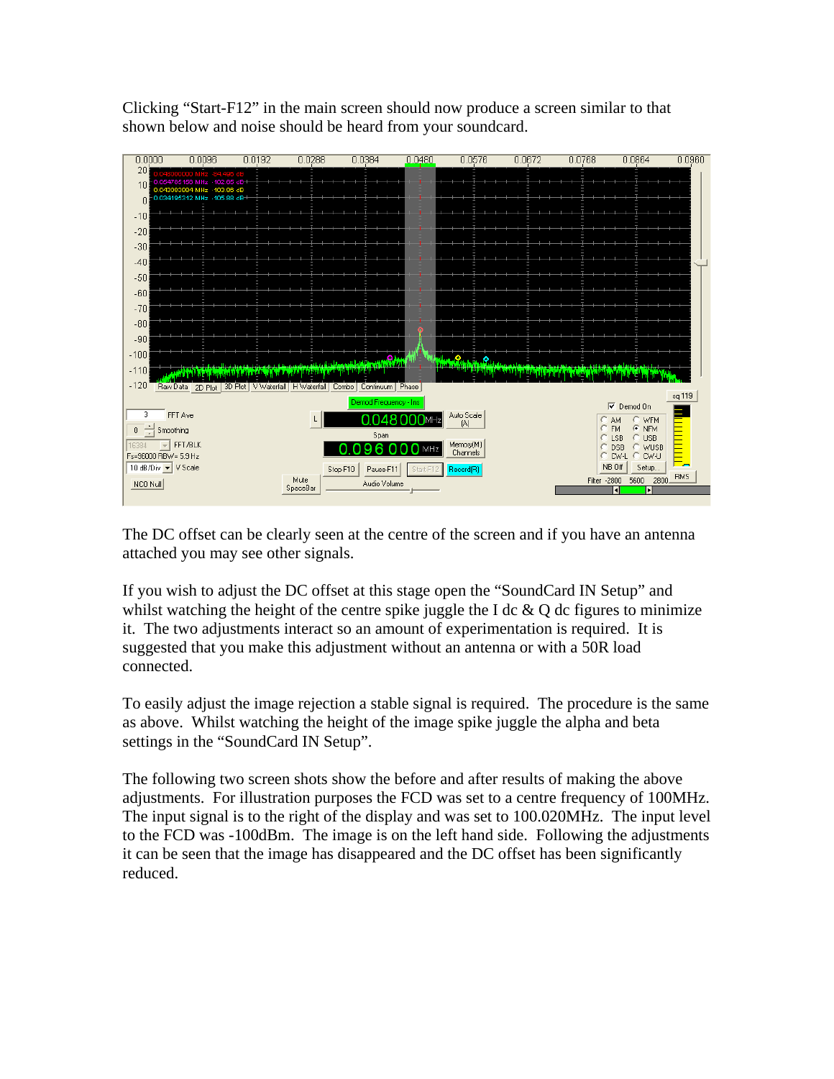Clicking "Start-F12" in the main screen should now produce a screen similar to that shown below and noise should be heard from your soundcard.



The DC offset can be clearly seen at the centre of the screen and if you have an antenna attached you may see other signals.

If you wish to adjust the DC offset at this stage open the "SoundCard IN Setup" and whilst watching the height of the centre spike juggle the I dc  $\&$  Q dc figures to minimize it. The two adjustments interact so an amount of experimentation is required. It is suggested that you make this adjustment without an antenna or with a 50R load connected.

To easily adjust the image rejection a stable signal is required. The procedure is the same as above. Whilst watching the height of the image spike juggle the alpha and beta settings in the "SoundCard IN Setup".

The following two screen shots show the before and after results of making the above adjustments. For illustration purposes the FCD was set to a centre frequency of 100MHz. The input signal is to the right of the display and was set to 100.020MHz. The input level to the FCD was -100dBm. The image is on the left hand side. Following the adjustments it can be seen that the image has disappeared and the DC offset has been significantly reduced.